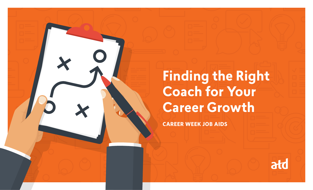

**CAREER WEEK JOB AIDS**

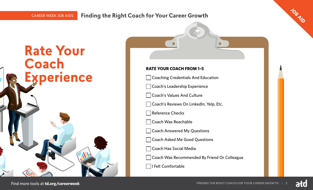**Rate Your** 

**Experience**

**Coach** 

## **Finding the Right Coach for Your Career Growth JOB AID**

## **RATE YOUR COACH FROM 1–5**

**Coaching Credentials And Education** 

Coach's Leadership Experience

Coach's Values And Culture

Coach's Reviews On LinkedIn, Yelp, Etc.

Reference Checks

Coach Was Reachable

**Coach Answered My Questions** 

Coach Asked Me Good Questions

Coach Has Social Media

Coach Was Recommended By Friend Or Colleague

I Felt Comfortable

ałd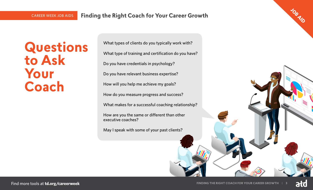**Questions to Ask Your Coach**

What types of clients do you typically work with? What type of training and certification do you have? Do you have credentials in psychology? Do you have relevant business expertise? How will you help me achieve my goals? How do you measure progress and success? What makes for a successful coaching relationship? How are you the same or different than other executive coaches? May I speak with some of your past clients?

ałd